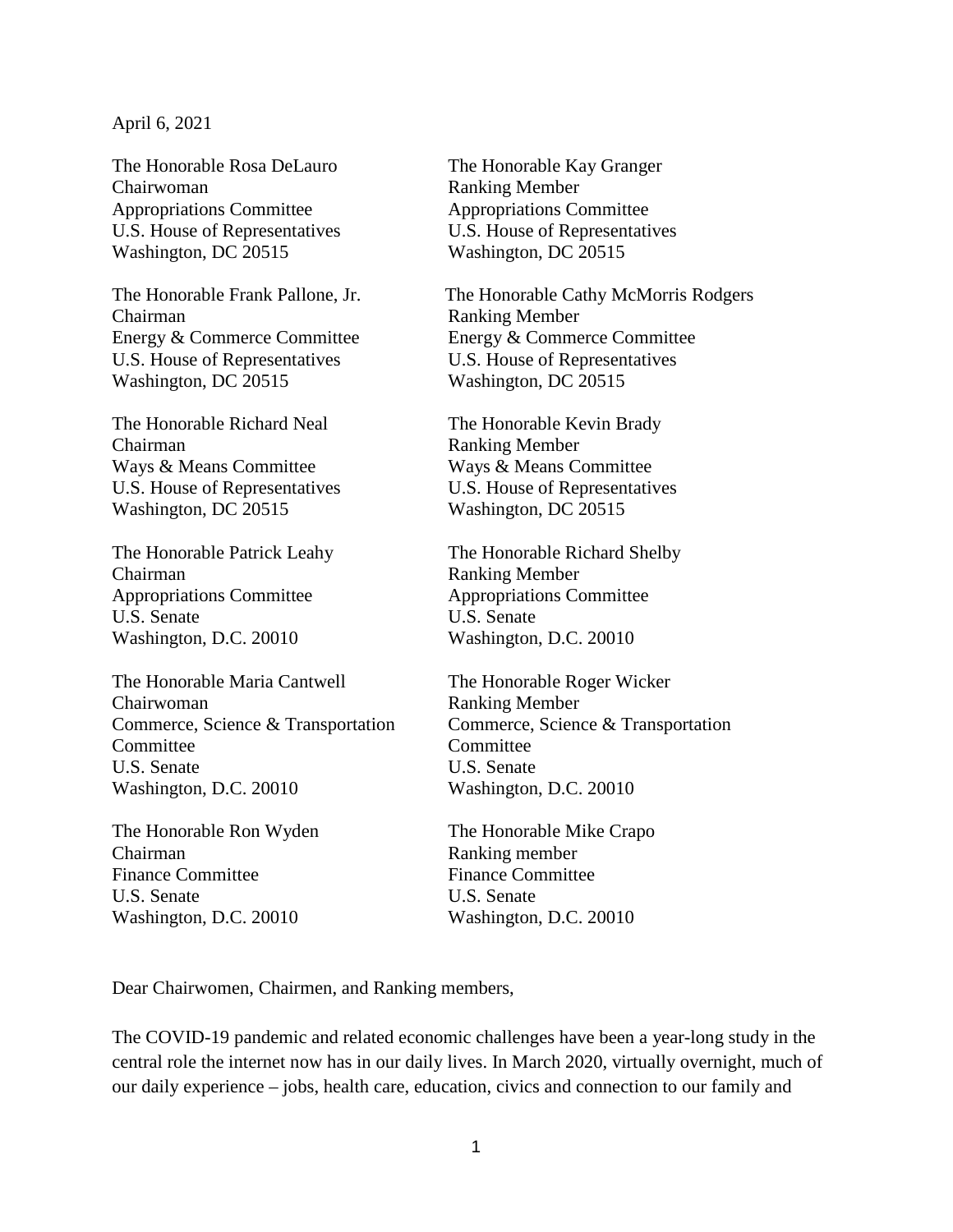## April 6, 2021

Chairwoman Ranking Member Appropriations Committee Appropriations Committee U.S. House of Representatives U.S. House of Representatives Washington, DC 20515 Washington, DC 20515

Chairman Ranking Member U.S. House of Representatives U.S. House of Representatives Washington, DC 20515 Washington, DC 20515

The Honorable Richard Neal The Honorable Kevin Brady Chairman Ranking Member Ways & Means Committee Ways & Means Committee U.S. House of Representatives U.S. House of Representatives Washington, DC 20515 Washington, DC 20515

Chairman Ranking Member Appropriations Committee Appropriations Committee U.S. Senate U.S. Senate Washington, D.C. 20010 Washington, D.C. 20010

The Honorable Maria Cantwell The Honorable Roger Wicker Chairwoman Ranking Member Committee Committee U.S. Senate U.S. Senate Washington, D.C. 20010 Washington, D.C. 20010

The Honorable Ron Wyden The Honorable Mike Crapo Chairman Ranking member<br>
Finance Committee Finance Committee Finance Committee U.S. Senate U.S. Senate Washington, D.C. 20010 Washington, D.C. 20010

The Honorable Rosa DeLauro The Honorable Kay Granger

The Honorable Frank Pallone, Jr. The Honorable Cathy McMorris Rodgers Energy & Commerce Committee Energy & Commerce Committee

The Honorable Patrick Leahy The Honorable Richard Shelby

Commerce, Science & Transportation Commerce, Science & Transportation

Dear Chairwomen, Chairmen, and Ranking members,

The COVID-19 pandemic and related economic challenges have been a year-long study in the central role the internet now has in our daily lives. In March 2020, virtually overnight, much of our daily experience – jobs, health care, education, civics and connection to our family and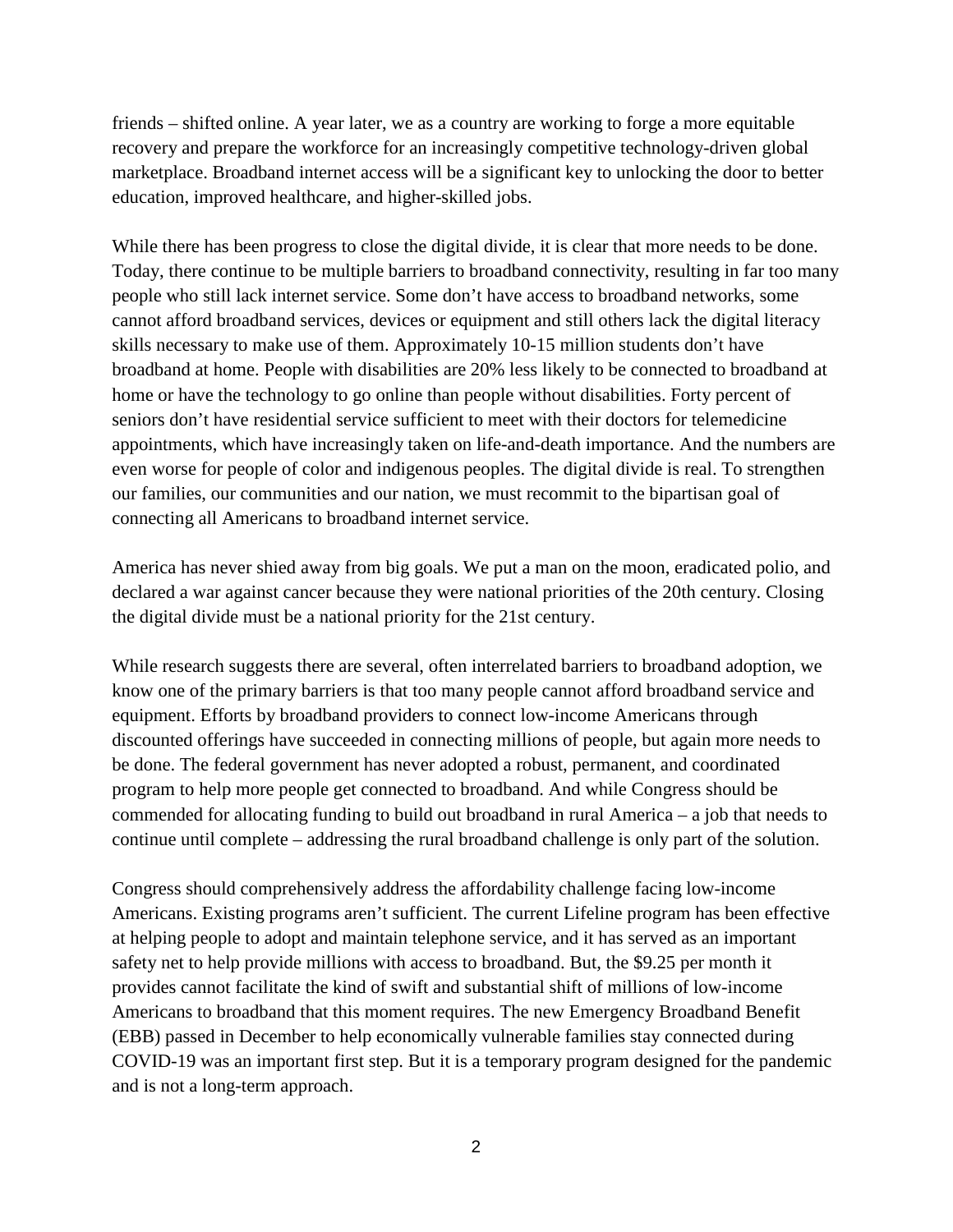friends – shifted online. A year later, we as a country are working to forge a more equitable recovery and prepare the workforce for an increasingly competitive technology-driven global marketplace. Broadband internet access will be a significant key to unlocking the door to better education, improved healthcare, and higher-skilled jobs.

While there has been progress to close the digital divide, it is clear that more needs to be done. Today, there continue to be multiple barriers to broadband connectivity, resulting in far too many people who still lack internet service. Some don't have access to broadband networks, some cannot afford broadband services, devices or equipment and still others lack the digital literacy skills necessary to make use of them. Approximately 10-15 million students don't have broadband at home. People with disabilities are 20% less likely to be connected to broadband at home or have the technology to go online than people without disabilities. Forty percent of seniors don't have residential service sufficient to meet with their doctors for telemedicine appointments, which have increasingly taken on life-and-death importance. And the numbers are even worse for people of color and indigenous peoples. The digital divide is real. To strengthen our families, our communities and our nation, we must recommit to the bipartisan goal of connecting all Americans to broadband internet service.

America has never shied away from big goals. We put a man on the moon, eradicated polio, and declared a war against cancer because they were national priorities of the 20th century. Closing the digital divide must be a national priority for the 21st century.

While research suggests there are several, often interrelated barriers to broadband adoption, we know one of the primary barriers is that too many people cannot afford broadband service and equipment. Efforts by broadband providers to connect low-income Americans through discounted offerings have succeeded in connecting millions of people, but again more needs to be done. The federal government has never adopted a robust, permanent, and coordinated program to help more people get connected to broadband. And while Congress should be commended for allocating funding to build out broadband in rural America – a job that needs to continue until complete – addressing the rural broadband challenge is only part of the solution.

Congress should comprehensively address the affordability challenge facing low-income Americans. Existing programs aren't sufficient. The current Lifeline program has been effective at helping people to adopt and maintain telephone service, and it has served as an important safety net to help provide millions with access to broadband. But, the \$9.25 per month it provides cannot facilitate the kind of swift and substantial shift of millions of low-income Americans to broadband that this moment requires. The new Emergency Broadband Benefit (EBB) passed in December to help economically vulnerable families stay connected during COVID-19 was an important first step. But it is a temporary program designed for the pandemic and is not a long-term approach.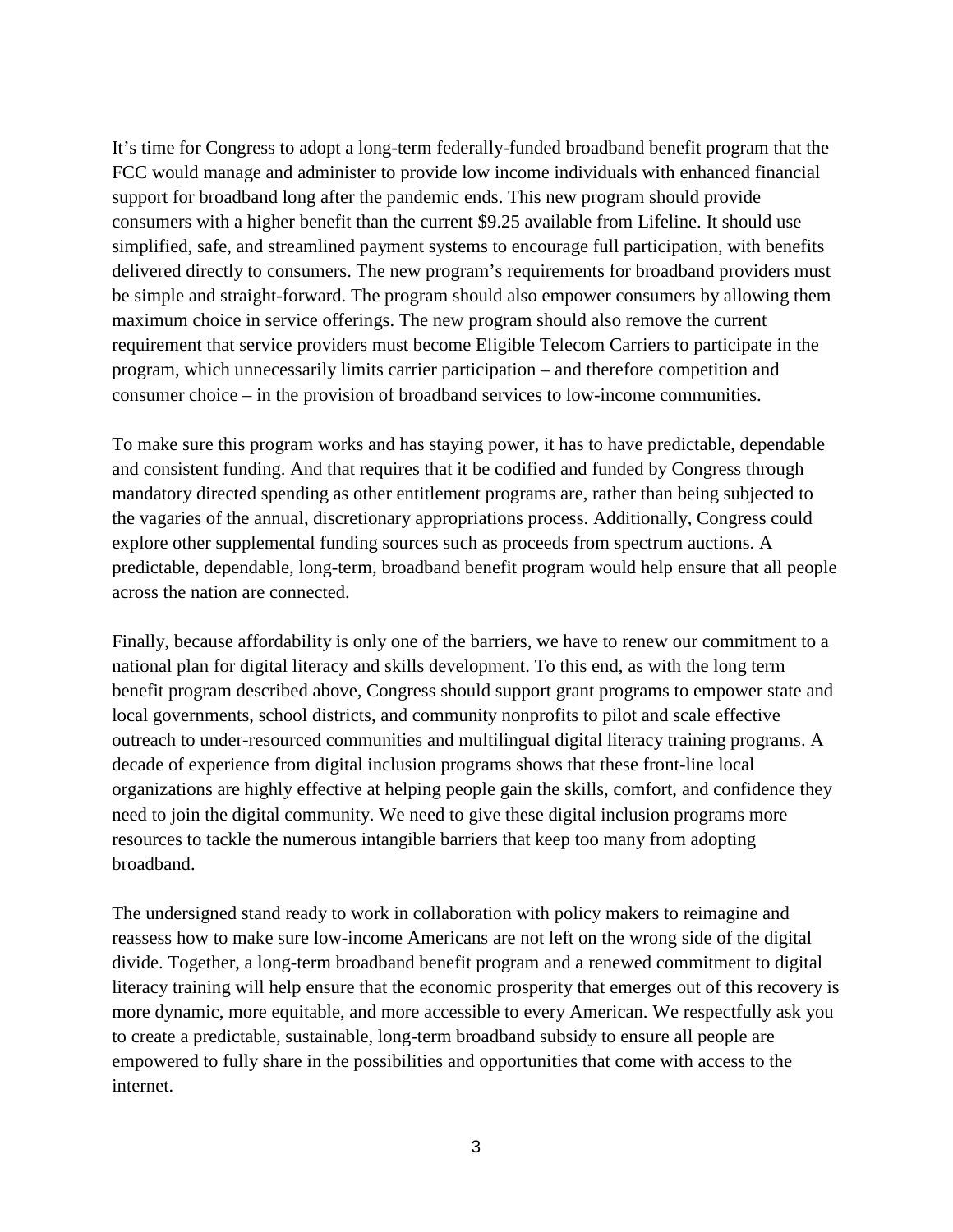It's time for Congress to adopt a long-term federally-funded broadband benefit program that the FCC would manage and administer to provide low income individuals with enhanced financial support for broadband long after the pandemic ends. This new program should provide consumers with a higher benefit than the current \$9.25 available from Lifeline. It should use simplified, safe, and streamlined payment systems to encourage full participation, with benefits delivered directly to consumers. The new program's requirements for broadband providers must be simple and straight-forward. The program should also empower consumers by allowing them maximum choice in service offerings. The new program should also remove the current requirement that service providers must become Eligible Telecom Carriers to participate in the program, which unnecessarily limits carrier participation – and therefore competition and consumer choice – in the provision of broadband services to low-income communities.

To make sure this program works and has staying power, it has to have predictable, dependable and consistent funding. And that requires that it be codified and funded by Congress through mandatory directed spending as other entitlement programs are, rather than being subjected to the vagaries of the annual, discretionary appropriations process. Additionally, Congress could explore other supplemental funding sources such as proceeds from spectrum auctions. A predictable, dependable, long-term, broadband benefit program would help ensure that all people across the nation are connected.

Finally, because affordability is only one of the barriers, we have to renew our commitment to a national plan for digital literacy and skills development. To this end, as with the long term benefit program described above, Congress should support grant programs to empower state and local governments, school districts, and community nonprofits to pilot and scale effective outreach to under-resourced communities and multilingual digital literacy training programs. A decade of experience from digital inclusion programs shows that these front-line local organizations are highly effective at helping people gain the skills, comfort, and confidence they need to join the digital community. We need to give these digital inclusion programs more resources to tackle the numerous intangible barriers that keep too many from adopting broadband.

The undersigned stand ready to work in collaboration with policy makers to reimagine and reassess how to make sure low-income Americans are not left on the wrong side of the digital divide. Together, a long-term broadband benefit program and a renewed commitment to digital literacy training will help ensure that the economic prosperity that emerges out of this recovery is more dynamic, more equitable, and more accessible to every American. We respectfully ask you to create a predictable, sustainable, long-term broadband subsidy to ensure all people are empowered to fully share in the possibilities and opportunities that come with access to the internet.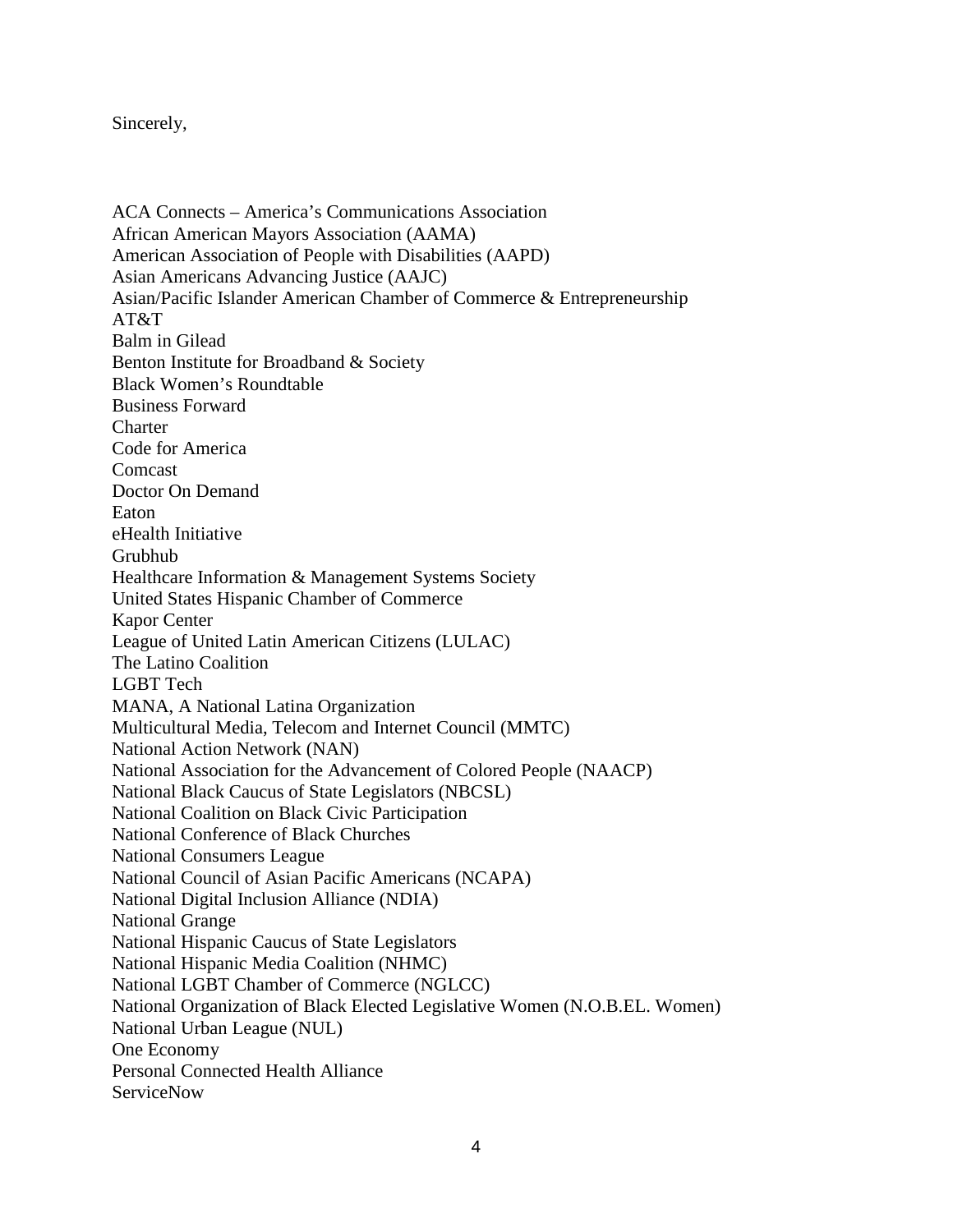## Sincerely,

ACA Connects – America's Communications Association African American Mayors Association (AAMA) American Association of People with Disabilities (AAPD) Asian Americans Advancing Justice (AAJC) Asian/Pacific Islander American Chamber of Commerce & Entrepreneurship AT&T Balm in Gilead Benton Institute for Broadband & Society Black Women's Roundtable Business Forward **Charter** Code for America Comcast Doctor On Demand Eaton eHealth Initiative Grubhub Healthcare Information & Management Systems Society United States Hispanic Chamber of Commerce Kapor Center League of United Latin American Citizens (LULAC) The Latino Coalition LGBT Tech MANA, A National Latina Organization Multicultural Media, Telecom and Internet Council (MMTC) National Action Network (NAN) National Association for the Advancement of Colored People (NAACP) National Black Caucus of State Legislators (NBCSL) National Coalition on Black Civic Participation National Conference of Black Churches National Consumers League National Council of Asian Pacific Americans (NCAPA) National Digital Inclusion Alliance (NDIA) National Grange National Hispanic Caucus of State Legislators National Hispanic Media Coalition (NHMC) National LGBT Chamber of Commerce (NGLCC) National Organization of Black Elected Legislative Women (N.O.B.EL. Women) National Urban League (NUL) One Economy Personal Connected Health Alliance **ServiceNow**